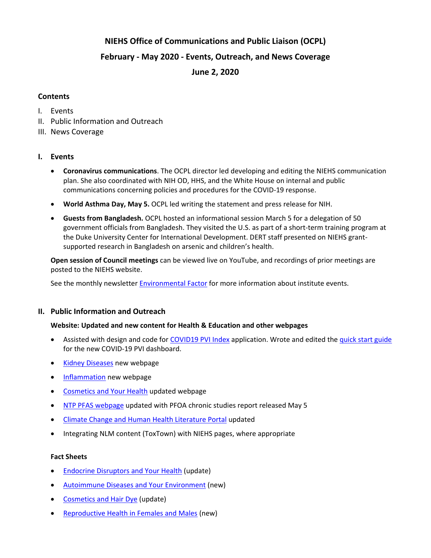# **NIEHS Office of Communications and Public Liaison (OCPL)**

# **February - May 2020 - Events, Outreach, and News Coverage**

**June 2, 2020**

## **Contents**

- I. Events
- II. Public Information and Outreach
- III. News Coverage

## **I. Events**

- **Coronavirus communications**. The OCPL director led developing and editing the NIEHS communication plan. She also coordinated with NIH OD, HHS, and the White House on internal and public communications concerning policies and procedures for the COVID-19 response.
- **World Asthma Day, May 5.** OCPL led writing the statement and press release for NIH.
- **Guests from Bangladesh.** OCPL hosted an informational session March 5 for a delegation of 50 government officials from Bangladesh. They visited the U.S. as part of a short-term training program at the Duke University Center for International Development. DERT staff presented on NIEHS grantsupported research in Bangladesh on arsenic and children's health.

**Open session of Council meetings** can be viewed live on YouTube, and recordings of prior meetings are posted to the NIEHS website.

See the monthly newsletter [Environmental Factor](https://www.niehs.nih.gov/news/newsletter/2017/5/) for more information about institute events.

## **II. Public Information and Outreach**

## **Website: Updated and new content for Health & Education and other webpages**

- Assisted with design and code for [COVID19 PVI Index](https://covid19pvi.niehs.nih.gov/) application. Wrote and edited th[e quick start guide](https://www.niehs.nih.gov/research/programs/coronavirus/covid19pvi/) for the new COVID-19 PVI dashboard.
- **[Kidney Diseases](https://www.niehs.nih.gov/health/topics/conditions/kidney/index.cfm) new webpage**
- [Inflammation](https://www.niehs.nih.gov/health/topics/conditions/inflammation/index.cfm) new webpage
- [Cosmetics and Your Health](https://www.niehs.nih.gov/health/topics/agents/cosmetics/index.cfm) updated webpage
- [NTP PFAS webpage](https://ntp.niehs.nih.gov/whatwestudy/topics/pfas/index.html) updated with PFOA chronic studies report released May 5
- [Climate Change and Human Health Literature Portal](https://tools.niehs.nih.gov/cchhl/index.cfm) updated
- Integrating NLM content (ToxTown) with NIEHS pages, where appropriate

#### **Fact Sheets**

- **[Endocrine Disruptors and Your Health](https://www.niehs.nih.gov/health/materials/endocrine_disruptors_508.pdf) (update)**
- [Autoimmune Diseases and Your Environment](https://www.niehs.nih.gov/health/materials/autoimmune_diseases_and_your_environment_508.pdf) (new)
- [Cosmetics and](https://www.niehs.nih.gov/health/materials/cosmetics_and_hair_dye_508.pdf) Hair Dye (update)
- [Reproductive Health in Females and Males](https://www.niehs.nih.gov/health/materials/reproductive_health_in_females_and_males_508.pdf) (new)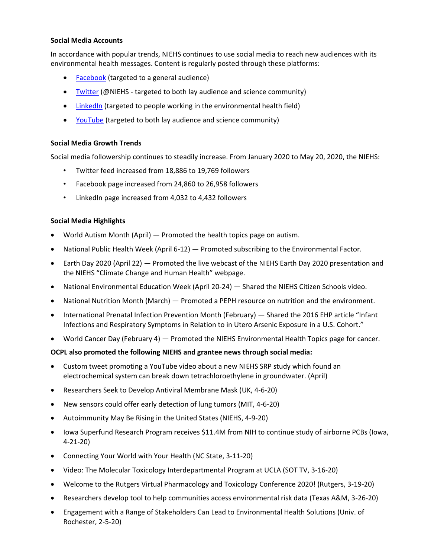### **Social Media Accounts**

In accordance with popular trends, NIEHS continues to use social media to reach new audiences with its environmental health messages. Content is regularly posted through these platforms:

- **[Facebook](https://www.facebook.com/NIH.NIEHS)** (targeted to a general audience)
- [Twitter](https://twitter.com/niehs) (@NIEHS targeted to both lay audience and science community)
- [LinkedIn](https://www.linkedin.com/company/national-institute-of-environmental-health-sciences-niehs-) (targeted to people working in the environmental health field)
- [YouTube](https://www.youtube.com/channel/UCxg2OdLAFrKlSDCI0Yjgwsg) (targeted to both lay audience and science community)

## **Social Media Growth Trends**

Social media followership continues to steadily increase. From January 2020 to May 20, 2020, the NIEHS:

- Twitter feed increased from 18,886 to 19,769 followers
- Facebook page increased from 24,860 to 26,958 followers
- LinkedIn page increased from 4,032 to 4,432 followers

### **Social Media Highlights**

- World Autism Month (April) Promoted the health topics page on autism.
- National Public Health Week (April 6-12) Promoted subscribing to the Environmental Factor.
- Earth Day 2020 (April 22) Promoted the live webcast of the NIEHS Earth Day 2020 presentation and the NIEHS "Climate Change and Human Health" webpage.
- National Environmental Education Week (April 20-24) Shared the NIEHS Citizen Schools video.
- National Nutrition Month (March) Promoted a PEPH resource on nutrition and the environment.
- International Prenatal Infection Prevention Month (February) Shared the 2016 EHP article "Infant Infections and Respiratory Symptoms in Relation to in Utero Arsenic Exposure in a U.S. Cohort."
- World Cancer Day (February 4) Promoted the NIEHS Environmental Health Topics page for cancer.

## **OCPL also promoted the following NIEHS and grantee news through social media:**

- Custom tweet promoting a YouTube video about a new NIEHS SRP study which found an electrochemical system can break down tetrachloroethylene in groundwater. (April)
- Researchers Seek to Develop Antiviral Membrane Mask (UK, 4-6-20)
- New sensors could offer early detection of lung tumors (MIT, 4-6-20)
- Autoimmunity May Be Rising in the United States (NIEHS, 4-9-20)
- Iowa Superfund Research Program receives \$11.4M from NIH to continue study of airborne PCBs (Iowa, 4-21-20)
- Connecting Your World with Your Health (NC State, 3-11-20)
- Video: The Molecular Toxicology Interdepartmental Program at UCLA (SOT TV, 3-16-20)
- Welcome to the Rutgers Virtual Pharmacology and Toxicology Conference 2020! (Rutgers, 3-19-20)
- Researchers develop tool to help communities access environmental risk data (Texas A&M, 3-26-20)
- Engagement with a Range of Stakeholders Can Lead to Environmental Health Solutions (Univ. of Rochester, 2-5-20)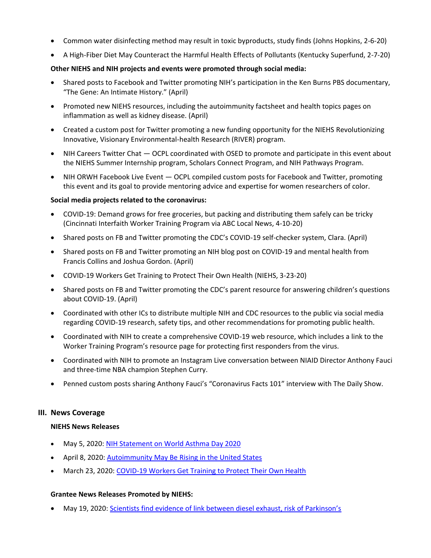- Common water disinfecting method may result in toxic byproducts, study finds (Johns Hopkins, 2-6-20)
- A High-Fiber Diet May Counteract the Harmful Health Effects of Pollutants (Kentucky Superfund, 2-7-20)

## **Other NIEHS and NIH projects and events were promoted through social media:**

- Shared posts to Facebook and Twitter promoting NIH's participation in the Ken Burns PBS documentary, "The Gene: An Intimate History." (April)
- Promoted new NIEHS resources, including the autoimmunity factsheet and health topics pages on inflammation as well as kidney disease. (April)
- Created a custom post for Twitter promoting a new funding opportunity for the NIEHS Revolutionizing Innovative, Visionary Environmental-health Research (RIVER) program.
- NIH Careers Twitter Chat OCPL coordinated with OSED to promote and participate in this event about the NIEHS Summer Internship program, Scholars Connect Program, and NIH Pathways Program.
- NIH ORWH Facebook Live Event OCPL compiled custom posts for Facebook and Twitter, promoting this event and its goal to provide mentoring advice and expertise for women researchers of color.

## **Social media projects related to the coronavirus:**

- COVID-19: Demand grows for free groceries, but packing and distributing them safely can be tricky (Cincinnati Interfaith Worker Training Program via ABC Local News, 4-10-20)
- Shared posts on FB and Twitter promoting the CDC's COVID-19 self-checker system, Clara. (April)
- Shared posts on FB and Twitter promoting an NIH blog post on COVID-19 and mental health from Francis Collins and Joshua Gordon. (April)
- COVID-19 Workers Get Training to Protect Their Own Health (NIEHS, 3-23-20)
- Shared posts on FB and Twitter promoting the CDC's parent resource for answering children's questions about COVID-19. (April)
- Coordinated with other ICs to distribute multiple NIH and CDC resources to the public via social media regarding COVID-19 research, safety tips, and other recommendations for promoting public health.
- Coordinated with NIH to create a comprehensive COVID-19 web resource, which includes a link to the Worker Training Program's resource page for protecting first responders from the virus.
- Coordinated with NIH to promote an Instagram Live conversation between NIAID Director Anthony Fauci and three-time NBA champion Stephen Curry.
- Penned custom posts sharing Anthony Fauci's "Coronavirus Facts 101" interview with The Daily Show.

## **III. News Coverage**

## **NIEHS News Releases**

- May 5, 2020: NIH [Statement](https://www.niehs.nih.gov/news/newsroom/releases/2020/may5/index.cfm) on World Asthma Day 2020
- April 8, 2020: [Autoimmunity May Be Rising in the United States](https://www.niehs.nih.gov/news/newsroom/releases/2020/april8/index.cfm)
- March 23, 2020[: COVID-19 Workers Get Training to Protect Their Own Health](https://www.niehs.nih.gov/news/newsroom/releases/2020/march23/index.cfm)

## **Grantee News Releases Promoted by NIEHS:**

• May 19, 2020: [Scientists find evidence of link between diesel exhaust, risk of Parkinson's](https://newsroom.ucla.edu/releases/scientists-link-diesel-exhaust-parkinsons-disease?utm_source=miragenews&utm_medium=miragenews&utm_campaign=news)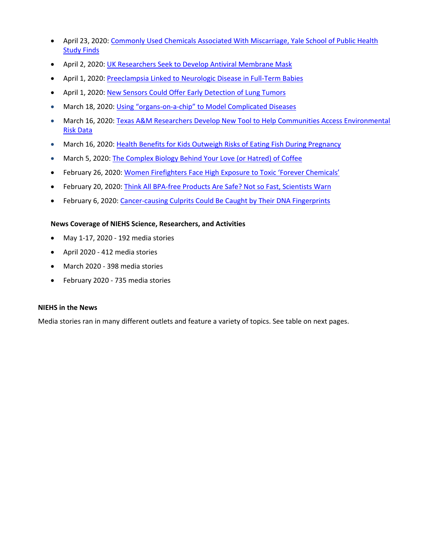- April 23, 2020[: Commonly Used Chemicals Associated With Miscarriage, Yale School of Public Health](https://publichealth.yale.edu/communications/news-article/24175/)  **[Study Finds](https://publichealth.yale.edu/communications/news-article/24175/)**
- April 2, 2020: [UK Researchers Seek to Develop Antiviral Membrane Mask](http://uknow.uky.edu/research/uk-researchers-seek-develop-antiviral-membrane-mask)
- April 1, 2020: [Preeclampsia Linked to Neurologic Disease in Full-Term Babies](https://www.medpagetoday.com/psychiatry/generalpsychiatry/85756)
- April 1, 2020: [New Sensors Could Offer Early Detection of Lung Tumors](http://news.mit.edu/2020/urine-sensor-test-detect-lung-tumors-0401)
- March 18, 2020: Using "organs-on-a-[chip" to Model Complicated Diseases](http://news.mit.edu/2020/organ-on-microfluidic-chip-0318)
- March 16, 2020[: Texas A&M Researchers Develop New Tool to Help Communities Access Environmental](https://vetmed.tamu.edu/news/press-releases/texas-am-researchers-develop-new-tool-to-help-communities-access-environmental-risk-data/)  [Risk Data](https://vetmed.tamu.edu/news/press-releases/texas-am-researchers-develop-new-tool-to-help-communities-access-environmental-risk-data/)
- March 16, 2020[: Health Benefits for Kids Outweigh Risks of Eating Fish During Pregnancy](https://keck.usc.edu/health-benefits-for-kids-outweigh-risks-of-eating-fish-during-pregnancy/)
- March 5, 2020: [The Complex Biology Behind Your Love \(or Hatred\) of Coffee](https://newscenter.lbl.gov/2020/03/05/biology-love-of-coffee/)
- February 26, 2020: [Women Firefighters Face High Exposure to Toxic 'Forever Chemicals'](https://news.berkeley.edu/2020/02/26/women-firefighters-face-high-exposure-to-toxic-forever-chemicals/)
- February 20, 2020[: Think All BPA-free Products Are Safe? Not so Fast, Scientists Warn](https://news.missouri.edu/2020/think-all-bpa-free-products-are-safe-not-so-fast-scientists-warn/)
- February 6, 2020: [Cancer-causing Culprits Could Be Caught by Their DNA Fingerprints](https://health.ucsd.edu/news/releases/Pages/2020-02-06-cancer-causing-culprits-could-be-cought-by-dna-fingerprints.aspx)

### **News Coverage of NIEHS Science, Researchers, and Activities**

- May 1-17, 2020 192 media stories
- April 2020 412 media stories
- March 2020 398 media stories
- February 2020 735 media stories

#### **NIEHS in the News**

Media stories ran in many different outlets and feature a variety of topics. See table on next pages.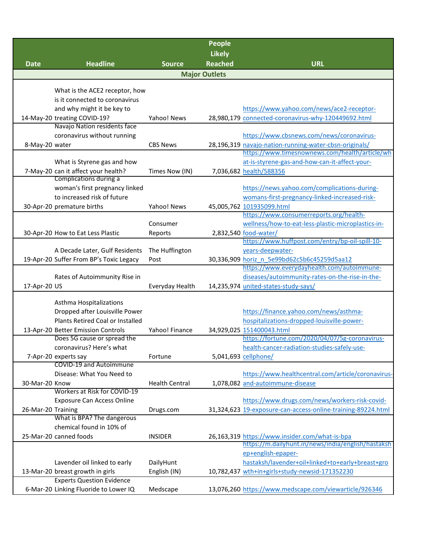|                    |                                                                  |                       | <b>People</b>        |                                                                          |  |  |  |  |
|--------------------|------------------------------------------------------------------|-----------------------|----------------------|--------------------------------------------------------------------------|--|--|--|--|
|                    |                                                                  |                       | <b>Likely</b>        |                                                                          |  |  |  |  |
| <b>Date</b>        | <b>Headline</b>                                                  | <b>Source</b>         | <b>Reached</b>       | <b>URL</b>                                                               |  |  |  |  |
|                    |                                                                  |                       | <b>Major Outlets</b> |                                                                          |  |  |  |  |
|                    |                                                                  |                       |                      |                                                                          |  |  |  |  |
|                    | What is the ACE2 receptor, how<br>is it connected to coronavirus |                       |                      |                                                                          |  |  |  |  |
|                    | and why might it be key to                                       |                       |                      | https://www.yahoo.com/news/ace2-receptor-                                |  |  |  |  |
|                    | 14-May-20 treating COVID-19?                                     | Yahoo! News           |                      | 28,980,179 connected-coronavirus-why-120449692.html                      |  |  |  |  |
|                    | Navajo Nation residents face                                     |                       |                      |                                                                          |  |  |  |  |
|                    | coronavirus without running                                      |                       |                      | https://www.cbsnews.com/news/coronavirus-                                |  |  |  |  |
| 8-May-20 water     |                                                                  | <b>CBS News</b>       |                      | 28,196,319 navajo-nation-running-water-cbsn-originals/                   |  |  |  |  |
|                    |                                                                  |                       |                      | https://www.timesnownews.com/health/article/wh                           |  |  |  |  |
|                    | What is Styrene gas and how                                      |                       |                      | at-is-styrene-gas-and-how-can-it-affect-your-                            |  |  |  |  |
|                    | 7-May-20 can it affect your health?                              | Times Now (IN)        |                      | 7,036,682 health/588356                                                  |  |  |  |  |
|                    | Complications during a                                           |                       |                      |                                                                          |  |  |  |  |
|                    | woman's first pregnancy linked                                   |                       |                      | https://news.yahoo.com/complications-during-                             |  |  |  |  |
|                    | to increased risk of future                                      |                       |                      | womans-first-pregnancy-linked-increased-risk-                            |  |  |  |  |
|                    | 30-Apr-20 premature births                                       | Yahoo! News           |                      | 45,005,762 101935099.html                                                |  |  |  |  |
|                    |                                                                  |                       |                      | https://www.consumerreports.org/health-                                  |  |  |  |  |
|                    |                                                                  | Consumer              |                      | wellness/how-to-eat-less-plastic-microplastics-in-                       |  |  |  |  |
|                    | 30-Apr-20 How to Eat Less Plastic                                | Reports               |                      | 2,832,540 food-water/<br>https://www.huffpost.com/entry/bp-oil-spill-10- |  |  |  |  |
|                    | A Decade Later, Gulf Residents                                   | The Huffington        |                      | years-deepwater-                                                         |  |  |  |  |
|                    | 19-Apr-20 Suffer From BP's Toxic Legacy                          | Post                  |                      | 30,336,909 horiz n 5e99bd62c5b6c45259d5aa12                              |  |  |  |  |
|                    |                                                                  |                       |                      | https://www.everydayhealth.com/autoimmune-                               |  |  |  |  |
|                    | Rates of Autoimmunity Rise in                                    |                       |                      | diseases/autoimmunity-rates-on-the-rise-in-the-                          |  |  |  |  |
| 17-Apr-20 US       |                                                                  | Everyday Health       |                      | 14,235,974 united-states-study-says/                                     |  |  |  |  |
|                    |                                                                  |                       |                      |                                                                          |  |  |  |  |
|                    | Asthma Hospitalizations                                          |                       |                      |                                                                          |  |  |  |  |
|                    | Dropped after Louisville Power                                   |                       |                      | https://finance.yahoo.com/news/asthma-                                   |  |  |  |  |
|                    | Plants Retired Coal or Installed                                 |                       |                      | hospitalizations-dropped-louisville-power-                               |  |  |  |  |
|                    | 13-Apr-20 Better Emission Controls                               | Yahoo! Finance        |                      | 34,929,025 151400043.html                                                |  |  |  |  |
|                    | Does 5G cause or spread the                                      |                       |                      | https://fortune.com/2020/04/07/5g-coronavirus-                           |  |  |  |  |
|                    | coronavirus? Here's what                                         |                       |                      | health-cancer-radiation-studies-safely-use-                              |  |  |  |  |
|                    | 7-Apr-20 experts say<br><b>COVID-19 and Autoimmune</b>           | Fortune               |                      | 5,041,693 cellphone/                                                     |  |  |  |  |
|                    | Disease: What You Need to                                        |                       |                      | https://www.healthcentral.com/article/coronavirus-                       |  |  |  |  |
| 30-Mar-20 Know     |                                                                  | <b>Health Central</b> |                      | 1,078,082 and-autoimmune-disease                                         |  |  |  |  |
|                    | Workers at Risk for COVID-19                                     |                       |                      |                                                                          |  |  |  |  |
|                    | <b>Exposure Can Access Online</b>                                |                       |                      | https://www.drugs.com/news/workers-risk-covid-                           |  |  |  |  |
| 26-Mar-20 Training |                                                                  | Drugs.com             |                      | 31,324,623 19-exposure-can-access-online-training-89224.html             |  |  |  |  |
|                    | What is BPA? The dangerous                                       |                       |                      |                                                                          |  |  |  |  |
|                    | chemical found in 10% of                                         |                       |                      |                                                                          |  |  |  |  |
|                    | 25-Mar-20 canned foods                                           | <b>INSIDER</b>        |                      | 26,163,319 https://www.insider.com/what-is-bpa                           |  |  |  |  |
|                    |                                                                  |                       |                      | https://m.dailyhunt.in/news/india/english/hastaksh                       |  |  |  |  |
|                    |                                                                  |                       |                      | ep+english-epaper-                                                       |  |  |  |  |
|                    | Lavender oil linked to early                                     | DailyHunt             |                      | hastaksh/lavender+oil+linked+to+early+breast+gro                         |  |  |  |  |
|                    | 13-Mar-20 breast growth in girls                                 | English (IN)          |                      | 10,782,437 wth+in+girls+study-newsid-171352230                           |  |  |  |  |
|                    | <b>Experts Question Evidence</b>                                 |                       |                      |                                                                          |  |  |  |  |
|                    | 6-Mar-20 Linking Fluoride to Lower IQ                            | Medscape              |                      | 13,076,260 https://www.medscape.com/viewarticle/926346                   |  |  |  |  |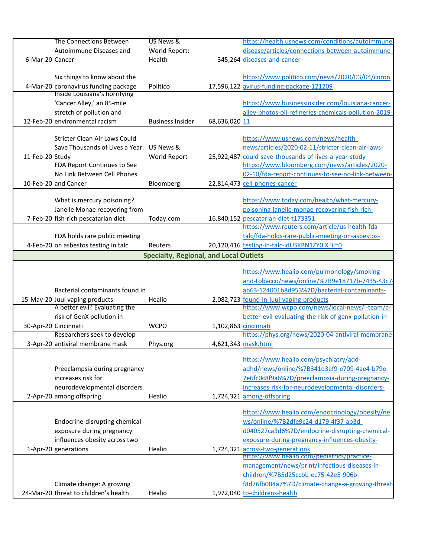|                      | The Connections Between                                            | US News &                                     |                      | https://health.usnews.com/conditions/autoimmune-                                      |
|----------------------|--------------------------------------------------------------------|-----------------------------------------------|----------------------|---------------------------------------------------------------------------------------|
|                      | Autoimmune Diseases and                                            | World Report:                                 |                      | disease/articles/connections-between-autoimmune-                                      |
| 6-Mar-20 Cancer      |                                                                    | Health                                        |                      | 345,264 diseases-and-cancer                                                           |
|                      |                                                                    |                                               |                      |                                                                                       |
|                      | Six things to know about the                                       |                                               |                      | https://www.politico.com/news/2020/03/04/coron                                        |
|                      | 4-Mar-20 coronavirus funding package                               | Politico                                      |                      | 17,596,122 avirus-funding-package-121209                                              |
|                      | Inside Louisiana's horrifying                                      |                                               |                      |                                                                                       |
|                      | 'Cancer Alley,' an 85-mile                                         |                                               |                      | https://www.businessinsider.com/louisiana-cancer-                                     |
|                      | stretch of pollution and                                           |                                               |                      | alley-photos-oil-refineries-chemicals-pollution-2019-                                 |
|                      | 12-Feb-20 environmental racism                                     | <b>Business Insider</b>                       | 68,636,020 11        |                                                                                       |
|                      |                                                                    |                                               |                      |                                                                                       |
|                      | Stricter Clean Air Laws Could                                      |                                               |                      | https://www.usnews.com/news/health-                                                   |
|                      | Save Thousands of Lives a Year: US News &                          |                                               |                      | news/articles/2020-02-11/stricter-clean-air-laws-                                     |
| 11-Feb-20 Study      |                                                                    | World Report                                  |                      | 25,922,487 could-save-thousands-of-lives-a-year-study                                 |
|                      | FDA Report Continues to See                                        |                                               |                      | https://www.bloomberg.com/news/articles/2020-                                         |
|                      | No Link Between Cell Phones                                        |                                               |                      | 02-10/fda-report-continues-to-see-no-link-between-                                    |
| 10-Feb-20 and Cancer |                                                                    | Bloomberg                                     |                      | 22,814,473 cell-phones-cancer                                                         |
|                      | What is mercury poisoning?                                         |                                               |                      | https://www.today.com/health/what-mercury-                                            |
|                      | Janelle Monae recovering from                                      |                                               |                      | poisoning-janelle-monae-recovering-fish-rich-                                         |
|                      |                                                                    | Today.com                                     |                      |                                                                                       |
|                      | 7-Feb-20 fish-rich pescatarian diet                                |                                               |                      | 16,840,152 pescatarian-diet-t173351<br>https://www.reuters.com/article/us-health-fda- |
|                      | FDA holds rare public meeting                                      |                                               |                      | talc/fda-holds-rare-public-meeting-on-asbestos-                                       |
|                      | 4-Feb-20 on asbestos testing in talc                               | Reuters                                       |                      | 20,120,416 testing-in-talc-idUSKBN1ZY0IX?il=0                                         |
|                      |                                                                    |                                               |                      |                                                                                       |
|                      |                                                                    | <b>Specialty, Regional, and Local Outlets</b> |                      |                                                                                       |
|                      |                                                                    |                                               |                      | https://www.healio.com/pulmonology/smoking-                                           |
|                      |                                                                    |                                               |                      | and-tobacco/news/online/%7B9e18717b-7435-43c7-                                        |
|                      | Bacterial contaminants found in                                    |                                               |                      | ab63-124001b8d953%7D/bacterial-contaminants-                                          |
|                      | 15-May-20 Juul vaping products                                     | Healio                                        |                      | 2,082,723 found-in-juul-vaping-products                                               |
|                      | A better evil? Evaluating the                                      |                                               |                      | https://www.wcpo.com/news/local-news/i-team/a-                                        |
|                      | risk of GenX pollution in                                          |                                               |                      | better-evil-evaluating-the-risk-of-genx-pollution-in-                                 |
| 30-Apr-20 Cincinnati |                                                                    | <b>WCPO</b>                                   | 1,102,863 cincinnati |                                                                                       |
|                      | Researchers seek to develop                                        |                                               |                      | https://phys.org/news/2020-04-antiviral-membrane-                                     |
|                      | 3-Apr-20 antiviral membrane mask                                   | Phys.org                                      |                      | 4,621,343 mask.html                                                                   |
|                      |                                                                    |                                               |                      |                                                                                       |
|                      |                                                                    |                                               |                      | https://www.healio.com/psychiatry/add-                                                |
|                      | Preeclampsia during pregnancy                                      |                                               |                      | adhd/news/online/%7B341d3ef9-e709-4ae4-b79e-                                          |
|                      | increases risk for                                                 |                                               |                      | 7e6fc0c8f9a6%7D/preeclampsia-during-pregnancy-                                        |
|                      | neurodevelopmental disorders                                       |                                               |                      | increases-risk-for-neurodevelopmental-disorders-                                      |
|                      | 2-Apr-20 among offspring                                           | Healio                                        |                      | 1,724,321 among-offspring                                                             |
|                      |                                                                    |                                               |                      |                                                                                       |
|                      |                                                                    |                                               |                      | https://www.healio.com/endocrinology/obesity/ne                                       |
|                      |                                                                    |                                               |                      |                                                                                       |
|                      | Endocrine-disrupting chemical                                      |                                               |                      | ws/online/%7B2dfe9c24-d179-4f37-ab3d-                                                 |
|                      | exposure during pregnancy                                          |                                               |                      | d040527ca3d6%7D/endocrine-disrupting-chemical-                                        |
|                      | influences obesity across two                                      |                                               |                      | exposure-during-pregnancy-influences-obesity-                                         |
| 1-Apr-20 generations |                                                                    | Healio                                        |                      | 1,724,321 across-two-generations                                                      |
|                      |                                                                    |                                               |                      | https://www.healio.com/pediatrics/practice-                                           |
|                      |                                                                    |                                               |                      | management/news/print/infectious-diseases-in-                                         |
|                      |                                                                    |                                               |                      | children/%7B5d25ccbb-ec75-42e5-906b-                                                  |
|                      | Climate change: A growing<br>24-Mar-20 threat to children's health | Healio                                        |                      | f8d76fb084a7%7D/climate-change-a-growing-threat-<br>1,972,040 to-childrens-health     |